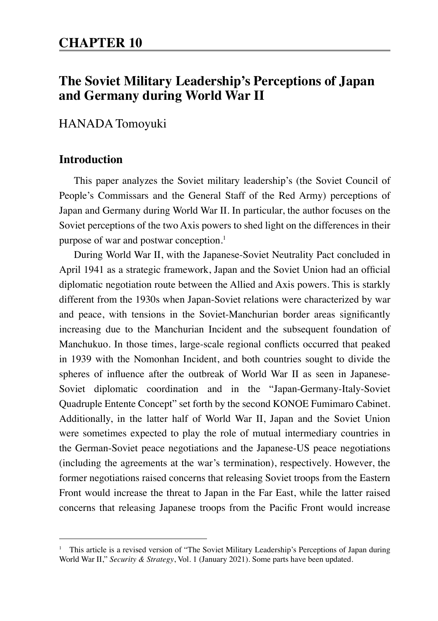# **The Soviet Military Leadership's Perceptions of Japan and Germany during World War II**

## HANADA Tomoyuki

## **Introduction**

This paper analyzes the Soviet military leadership's (the Soviet Council of People's Commissars and the General Staff of the Red Army) perceptions of Japan and Germany during World War II. In particular, the author focuses on the Soviet perceptions of the two Axis powers to shed light on the differences in their purpose of war and postwar conception.<sup>1</sup>

During World War II, with the Japanese-Soviet Neutrality Pact concluded in April 1941 as a strategic framework, Japan and the Soviet Union had an official diplomatic negotiation route between the Allied and Axis powers. This is starkly different from the 1930s when Japan-Soviet relations were characterized by war and peace, with tensions in the Soviet-Manchurian border areas significantly increasing due to the Manchurian Incident and the subsequent foundation of Manchukuo. In those times, large-scale regional conflicts occurred that peaked in 1939 with the Nomonhan Incident, and both countries sought to divide the spheres of influence after the outbreak of World War II as seen in Japanese-Soviet diplomatic coordination and in the "Japan-Germany-Italy-Soviet Quadruple Entente Concept" set forth by the second KONOE Fumimaro Cabinet. Additionally, in the latter half of World War II, Japan and the Soviet Union were sometimes expected to play the role of mutual intermediary countries in the German-Soviet peace negotiations and the Japanese-US peace negotiations (including the agreements at the war's termination), respectively. However, the former negotiations raised concerns that releasing Soviet troops from the Eastern Front would increase the threat to Japan in the Far East, while the latter raised concerns that releasing Japanese troops from the Pacific Front would increase

<sup>&</sup>lt;sup>1</sup> This article is a revised version of "The Soviet Military Leadership's Perceptions of Japan during World War II," *Security & Strategy*, Vol. 1 (January 2021). Some parts have been updated.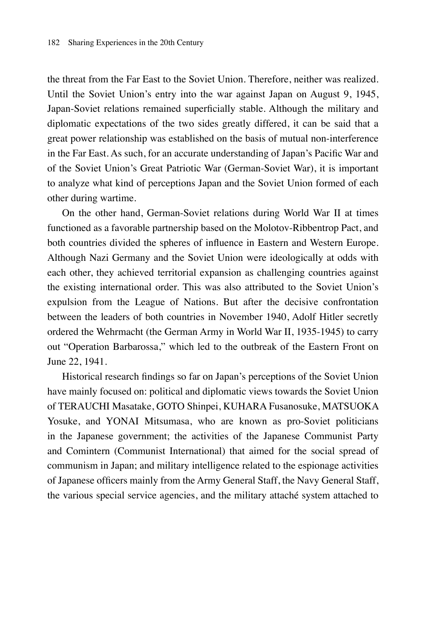the threat from the Far East to the Soviet Union. Therefore, neither was realized. Until the Soviet Union's entry into the war against Japan on August 9, 1945, Japan-Soviet relations remained superficially stable. Although the military and diplomatic expectations of the two sides greatly differed, it can be said that a great power relationship was established on the basis of mutual non-interference in the Far East. As such, for an accurate understanding of Japan's Pacific War and of the Soviet Union's Great Patriotic War (German-Soviet War), it is important to analyze what kind of perceptions Japan and the Soviet Union formed of each other during wartime.

On the other hand, German-Soviet relations during World War II at times functioned as a favorable partnership based on the Molotov-Ribbentrop Pact, and both countries divided the spheres of influence in Eastern and Western Europe. Although Nazi Germany and the Soviet Union were ideologically at odds with each other, they achieved territorial expansion as challenging countries against the existing international order. This was also attributed to the Soviet Union's expulsion from the League of Nations. But after the decisive confrontation between the leaders of both countries in November 1940, Adolf Hitler secretly ordered the Wehrmacht (the German Army in World War II, 1935-1945) to carry out "Operation Barbarossa," which led to the outbreak of the Eastern Front on June 22, 1941.

Historical research findings so far on Japan's perceptions of the Soviet Union have mainly focused on: political and diplomatic views towards the Soviet Union of TERAUCHI Masatake, GOTO Shinpei, KUHARA Fusanosuke, MATSUOKA Yosuke, and YONAI Mitsumasa, who are known as pro-Soviet politicians in the Japanese government; the activities of the Japanese Communist Party and Comintern (Communist International) that aimed for the social spread of communism in Japan; and military intelligence related to the espionage activities of Japanese officers mainly from the Army General Staff, the Navy General Staff, the various special service agencies, and the military attaché system attached to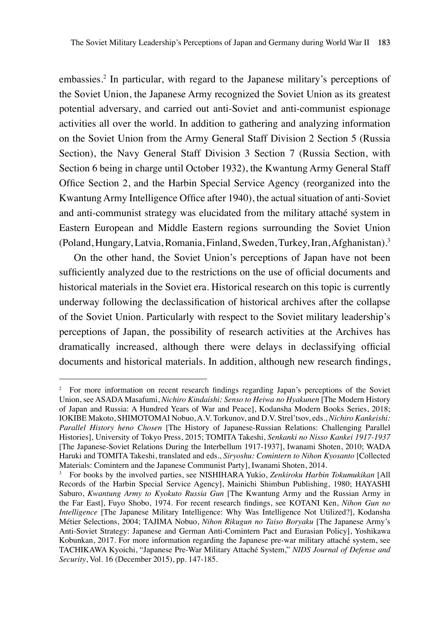embassies.2 In particular, with regard to the Japanese military's perceptions of the Soviet Union, the Japanese Army recognized the Soviet Union as its greatest potential adversary, and carried out anti-Soviet and anti-communist espionage activities all over the world. In addition to gathering and analyzing information on the Soviet Union from the Army General Staff Division 2 Section 5 (Russia Section), the Navy General Staff Division 3 Section 7 (Russia Section, with Section 6 being in charge until October 1932), the Kwantung Army General Staff Office Section 2, and the Harbin Special Service Agency (reorganized into the Kwantung Army Intelligence Office after 1940), the actual situation of anti-Soviet and anti-communist strategy was elucidated from the military attaché system in Eastern European and Middle Eastern regions surrounding the Soviet Union (Poland, Hungary, Latvia, Romania, Finland, Sweden, Turkey, Iran, Afghanistan).3

On the other hand, the Soviet Union's perceptions of Japan have not been sufficiently analyzed due to the restrictions on the use of official documents and historical materials in the Soviet era. Historical research on this topic is currently underway following the declassification of historical archives after the collapse of the Soviet Union. Particularly with respect to the Soviet military leadership's perceptions of Japan, the possibility of research activities at the Archives has dramatically increased, although there were delays in declassifying official documents and historical materials. In addition, although new research findings,

<sup>&</sup>lt;sup>2</sup> For more information on recent research findings regarding Japan's perceptions of the Soviet Union, see ASADA Masafumi, *Nichiro Kindaishi: Senso to Heiwa no Hyakunen* [The Modern History of Japan and Russia: A Hundred Years of War and Peace], Kodansha Modern Books Series, 2018; IOKIBE Makoto, SHIMOTOMAI Nobuo, A.V. Torkunov, and D.V. Strel'tsov, eds., *Nichiro Kankeishi: Parallel History heno Chosen* [The History of Japanese-Russian Relations: Challenging Parallel Histories], University of Tokyo Press, 2015; TOMITA Takeshi, *Senkanki no Nisso Kankei 1917-1937* [The Japanese-Soviet Relations During the Interbellum 1917-1937], Iwanami Shoten, 2010; WADA Haruki and TOMITA Takeshi, translated and eds., *Siryoshu: Comintern to Nihon Kyosanto* [Collected Materials: Comintern and the Japanese Communist Party], Iwanami Shoten, 2014.

<sup>3</sup> For books by the involved parties, see NISHIHARA Yukio, *Zenkiroku Harbin Tokumukikan* [All Records of the Harbin Special Service Agency], Mainichi Shimbun Publishing, 1980; HAYASHI Saburo, *Kwantung Army to Kyokuto Russia Gun* [The Kwantung Army and the Russian Army in the Far East], Fuyo Shobo, 1974. For recent research findings, see KOTANI Ken, *Nihon Gun no Intelligence* [The Japanese Military Intelligence: Why Was Intelligence Not Utilized?], Kodansha Métier Selections, 2004; TAJIMA Nobuo, *Nihon Rikugun no Taiso Boryaku* [The Japanese Army's Anti-Soviet Strategy: Japanese and German Anti-Comintern Pact and Eurasian Policy], Yoshikawa Kobunkan, 2017. For more information regarding the Japanese pre-war military attaché system, see TACHIKAWA Kyoichi, "Japanese Pre-War Military Attaché System," *NIDS Journal of Defense and Security*, Vol. 16 (December 2015), pp. 147-185.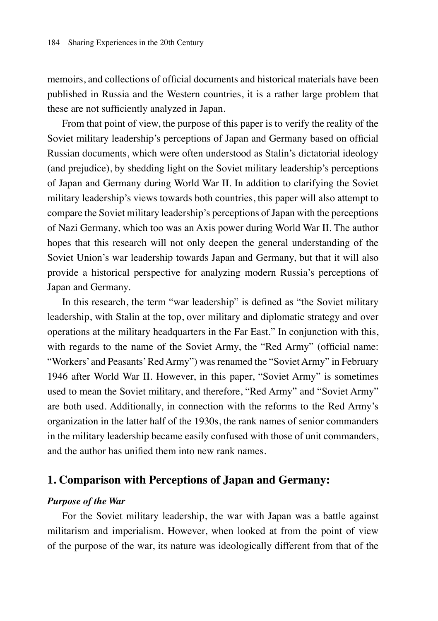memoirs, and collections of official documents and historical materials have been published in Russia and the Western countries, it is a rather large problem that these are not sufficiently analyzed in Japan.

From that point of view, the purpose of this paper is to verify the reality of the Soviet military leadership's perceptions of Japan and Germany based on official Russian documents, which were often understood as Stalin's dictatorial ideology (and prejudice), by shedding light on the Soviet military leadership's perceptions of Japan and Germany during World War II. In addition to clarifying the Soviet military leadership's views towards both countries, this paper will also attempt to compare the Soviet military leadership's perceptions of Japan with the perceptions of Nazi Germany, which too was an Axis power during World War II. The author hopes that this research will not only deepen the general understanding of the Soviet Union's war leadership towards Japan and Germany, but that it will also provide a historical perspective for analyzing modern Russia's perceptions of Japan and Germany.

In this research, the term "war leadership" is defined as "the Soviet military leadership, with Stalin at the top, over military and diplomatic strategy and over operations at the military headquarters in the Far East." In conjunction with this, with regards to the name of the Soviet Army, the "Red Army" (official name: "Workers' and Peasants' Red Army") was renamed the "Soviet Army" in February 1946 after World War II. However, in this paper, "Soviet Army" is sometimes used to mean the Soviet military, and therefore, "Red Army" and "Soviet Army" are both used. Additionally, in connection with the reforms to the Red Army's organization in the latter half of the 1930s, the rank names of senior commanders in the military leadership became easily confused with those of unit commanders, and the author has unified them into new rank names.

## **1. Comparison with Perceptions of Japan and Germany:**

#### *Purpose of the War*

For the Soviet military leadership, the war with Japan was a battle against militarism and imperialism. However, when looked at from the point of view of the purpose of the war, its nature was ideologically different from that of the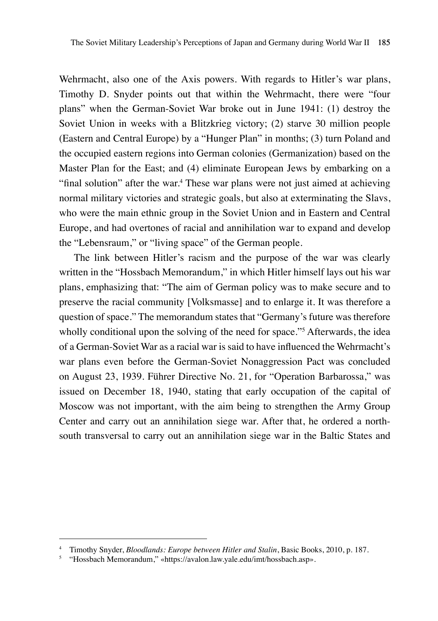Wehrmacht, also one of the Axis powers. With regards to Hitler's war plans, Timothy D. Snyder points out that within the Wehrmacht, there were "four plans" when the German-Soviet War broke out in June 1941: (1) destroy the Soviet Union in weeks with a Blitzkrieg victory; (2) starve 30 million people (Eastern and Central Europe) by a "Hunger Plan" in months; (3) turn Poland and the occupied eastern regions into German colonies (Germanization) based on the Master Plan for the East; and (4) eliminate European Jews by embarking on a "final solution" after the war.<sup>4</sup> These war plans were not just aimed at achieving normal military victories and strategic goals, but also at exterminating the Slavs, who were the main ethnic group in the Soviet Union and in Eastern and Central Europe, and had overtones of racial and annihilation war to expand and develop the "Lebensraum," or "living space" of the German people.

The link between Hitler's racism and the purpose of the war was clearly written in the "Hossbach Memorandum," in which Hitler himself lays out his war plans, emphasizing that: "The aim of German policy was to make secure and to preserve the racial community [Volksmasse] and to enlarge it. It was therefore a question of space." The memorandum states that "Germany's future was therefore wholly conditional upon the solving of the need for space."<sup>5</sup> Afterwards, the idea of a German-Soviet War as a racial war is said to have influenced the Wehrmacht's war plans even before the German-Soviet Nonaggression Pact was concluded on August 23, 1939. Führer Directive No. 21, for "Operation Barbarossa," was issued on December 18, 1940, stating that early occupation of the capital of Moscow was not important, with the aim being to strengthen the Army Group Center and carry out an annihilation siege war. After that, he ordered a northsouth transversal to carry out an annihilation siege war in the Baltic States and

<sup>4</sup> Timothy Snyder, *Bloodlands: Europe between Hitler and Stalin*, Basic Books, 2010, p. 187.

<sup>5</sup> "Hossbach Memorandum," «https://avalon.law.yale.edu/imt/hossbach.asp».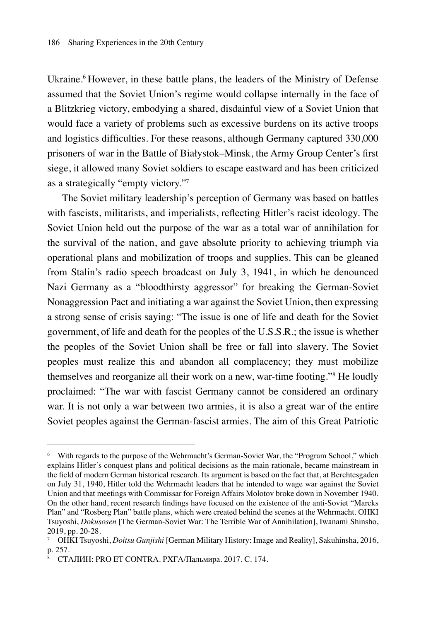Ukraine.<sup>6</sup> However, in these battle plans, the leaders of the Ministry of Defense assumed that the Soviet Union's regime would collapse internally in the face of a Blitzkrieg victory, embodying a shared, disdainful view of a Soviet Union that would face a variety of problems such as excessive burdens on its active troops and logistics difficulties. For these reasons, although Germany captured 330,000 prisoners of war in the Battle of Białystok–Minsk, the Army Group Center's first siege, it allowed many Soviet soldiers to escape eastward and has been criticized as a strategically "empty victory."7

The Soviet military leadership's perception of Germany was based on battles with fascists, militarists, and imperialists, reflecting Hitler's racist ideology. The Soviet Union held out the purpose of the war as a total war of annihilation for the survival of the nation, and gave absolute priority to achieving triumph via operational plans and mobilization of troops and supplies. This can be gleaned from Stalin's radio speech broadcast on July 3, 1941, in which he denounced Nazi Germany as a "bloodthirsty aggressor" for breaking the German-Soviet Nonaggression Pact and initiating a war against the Soviet Union, then expressing a strong sense of crisis saying: "The issue is one of life and death for the Soviet government, of life and death for the peoples of the U.S.S.R.; the issue is whether the peoples of the Soviet Union shall be free or fall into slavery. The Soviet peoples must realize this and abandon all complacency; they must mobilize themselves and reorganize all their work on a new, war-time footing."8 He loudly proclaimed: "The war with fascist Germany cannot be considered an ordinary war. It is not only a war between two armies, it is also a great war of the entire Soviet peoples against the German-fascist armies. The aim of this Great Patriotic

<sup>6</sup> With regards to the purpose of the Wehrmacht's German-Soviet War, the "Program School," which explains Hitler's conquest plans and political decisions as the main rationale, became mainstream in the field of modern German historical research. Its argument is based on the fact that, at Berchtesgaden on July 31, 1940, Hitler told the Wehrmacht leaders that he intended to wage war against the Soviet Union and that meetings with Commissar for Foreign Affairs Molotov broke down in November 1940. On the other hand, recent research findings have focused on the existence of the anti-Soviet "Marcks Plan" and "Rosberg Plan" battle plans, which were created behind the scenes at the Wehrmacht. OHKI Tsuyoshi, *Dokusosen* [The German-Soviet War: The Terrible War of Annihilation], Iwanami Shinsho, 2019, pp. 20-28.

<sup>7</sup> OHKI Tsuyoshi, *Doitsu Gunjishi* [German Military History: Image and Reality], Sakuhinsha, 2016, p. 257.

<sup>8</sup> СТАЛИН: PRO ET CONTRA. РХГА/Пальмира. 2017. C. 174.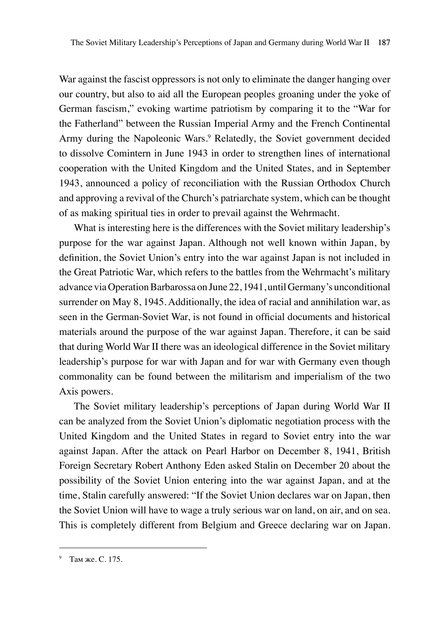War against the fascist oppressors is not only to eliminate the danger hanging over our country, but also to aid all the European peoples groaning under the yoke of German fascism," evoking wartime patriotism by comparing it to the "War for the Fatherland" between the Russian Imperial Army and the French Continental Army during the Napoleonic Wars.<sup>9</sup> Relatedly, the Soviet government decided to dissolve Comintern in June 1943 in order to strengthen lines of international cooperation with the United Kingdom and the United States, and in September 1943, announced a policy of reconciliation with the Russian Orthodox Church and approving a revival of the Church's patriarchate system, which can be thought of as making spiritual ties in order to prevail against the Wehrmacht.

What is interesting here is the differences with the Soviet military leadership's purpose for the war against Japan. Although not well known within Japan, by definition, the Soviet Union's entry into the war against Japan is not included in the Great Patriotic War, which refers to the battles from the Wehrmacht's military advance via Operation Barbarossa on June 22, 1941, until Germany's unconditional surrender on May 8, 1945. Additionally, the idea of racial and annihilation war, as seen in the German-Soviet War, is not found in official documents and historical materials around the purpose of the war against Japan. Therefore, it can be said that during World War II there was an ideological difference in the Soviet military leadership's purpose for war with Japan and for war with Germany even though commonality can be found between the militarism and imperialism of the two Axis powers.

The Soviet military leadership's perceptions of Japan during World War II can be analyzed from the Soviet Union's diplomatic negotiation process with the United Kingdom and the United States in regard to Soviet entry into the war against Japan. After the attack on Pearl Harbor on December 8, 1941, British Foreign Secretary Robert Anthony Eden asked Stalin on December 20 about the possibility of the Soviet Union entering into the war against Japan, and at the time, Stalin carefully answered: "If the Soviet Union declares war on Japan, then the Soviet Union will have to wage a truly serious war on land, on air, and on sea. This is completely different from Belgium and Greece declaring war on Japan.

<sup>9</sup> Там же. C. 175.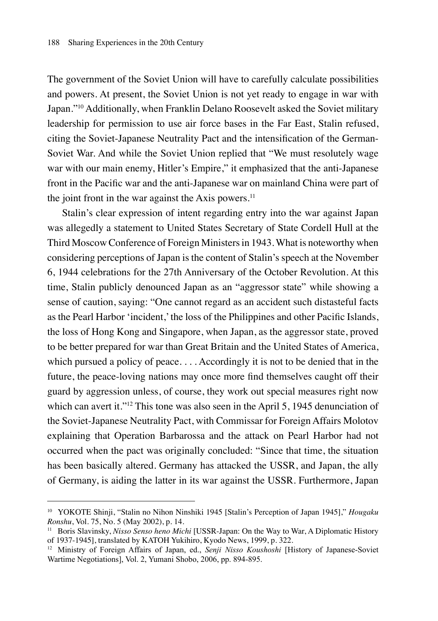The government of the Soviet Union will have to carefully calculate possibilities and powers. At present, the Soviet Union is not yet ready to engage in war with Japan."10 Additionally, when Franklin Delano Roosevelt asked the Soviet military leadership for permission to use air force bases in the Far East, Stalin refused, citing the Soviet-Japanese Neutrality Pact and the intensification of the German-Soviet War. And while the Soviet Union replied that "We must resolutely wage war with our main enemy, Hitler's Empire," it emphasized that the anti-Japanese front in the Pacific war and the anti-Japanese war on mainland China were part of the joint front in the war against the Axis powers.<sup>11</sup>

Stalin's clear expression of intent regarding entry into the war against Japan was allegedly a statement to United States Secretary of State Cordell Hull at the Third Moscow Conference of Foreign Ministers in 1943. What is noteworthy when considering perceptions of Japan is the content of Stalin's speech at the November 6, 1944 celebrations for the 27th Anniversary of the October Revolution. At this time, Stalin publicly denounced Japan as an "aggressor state" while showing a sense of caution, saying: "One cannot regard as an accident such distasteful facts as the Pearl Harbor 'incident,' the loss of the Philippines and other Pacific Islands, the loss of Hong Kong and Singapore, when Japan, as the aggressor state, proved to be better prepared for war than Great Britain and the United States of America, which pursued a policy of peace. . . . Accordingly it is not to be denied that in the future, the peace-loving nations may once more find themselves caught off their guard by aggression unless, of course, they work out special measures right now which can avert it."<sup>12</sup> This tone was also seen in the April 5, 1945 denunciation of the Soviet-Japanese Neutrality Pact, with Commissar for Foreign Affairs Molotov explaining that Operation Barbarossa and the attack on Pearl Harbor had not occurred when the pact was originally concluded: "Since that time, the situation has been basically altered. Germany has attacked the USSR, and Japan, the ally of Germany, is aiding the latter in its war against the USSR. Furthermore, Japan

<sup>10</sup> YOKOTE Shinji, "Stalin no Nihon Ninshiki 1945 [Stalin's Perception of Japan 1945]," *Hougaku Ronshu*, Vol. 75, No. 5 (May 2002), p. 14.

<sup>11</sup> Boris Slavinsky, *Nisso Senso heno Michi* [USSR-Japan: On the Way to War, A Diplomatic History of 1937-1945], translated by KATOH Yukihiro, Kyodo News, 1999, p. 322.

<sup>12</sup> Ministry of Foreign Affairs of Japan, ed., *Senji Nisso Koushoshi* [History of Japanese-Soviet Wartime Negotiations], Vol. 2, Yumani Shobo, 2006, pp. 894-895.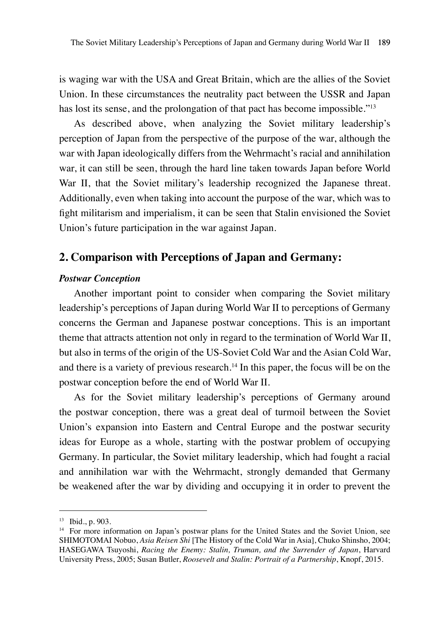is waging war with the USA and Great Britain, which are the allies of the Soviet Union. In these circumstances the neutrality pact between the USSR and Japan has lost its sense, and the prolongation of that pact has become impossible."<sup>13</sup>

As described above, when analyzing the Soviet military leadership's perception of Japan from the perspective of the purpose of the war, although the war with Japan ideologically differs from the Wehrmacht's racial and annihilation war, it can still be seen, through the hard line taken towards Japan before World War II, that the Soviet military's leadership recognized the Japanese threat. Additionally, even when taking into account the purpose of the war, which was to fight militarism and imperialism, it can be seen that Stalin envisioned the Soviet Union's future participation in the war against Japan.

## **2. Comparison with Perceptions of Japan and Germany:**

#### *Postwar Conception*

Another important point to consider when comparing the Soviet military leadership's perceptions of Japan during World War II to perceptions of Germany concerns the German and Japanese postwar conceptions. This is an important theme that attracts attention not only in regard to the termination of World War II, but also in terms of the origin of the US-Soviet Cold War and the Asian Cold War, and there is a variety of previous research.<sup>14</sup> In this paper, the focus will be on the postwar conception before the end of World War II.

As for the Soviet military leadership's perceptions of Germany around the postwar conception, there was a great deal of turmoil between the Soviet Union's expansion into Eastern and Central Europe and the postwar security ideas for Europe as a whole, starting with the postwar problem of occupying Germany. In particular, the Soviet military leadership, which had fought a racial and annihilation war with the Wehrmacht, strongly demanded that Germany be weakened after the war by dividing and occupying it in order to prevent the

<sup>13</sup> Ibid., p. 903.

<sup>&</sup>lt;sup>14</sup> For more information on Japan's postwar plans for the United States and the Soviet Union, see SHIMOTOMAI Nobuo, *Asia Reisen Shi* [The History of the Cold War in Asia], Chuko Shinsho, 2004; HASEGAWA Tsuyoshi, *Racing the Enemy: Stalin, Truman, and the Surrender of Japan*, Harvard University Press, 2005; Susan Butler, *Roosevelt and Stalin: Portrait of a Partnership*, Knopf, 2015.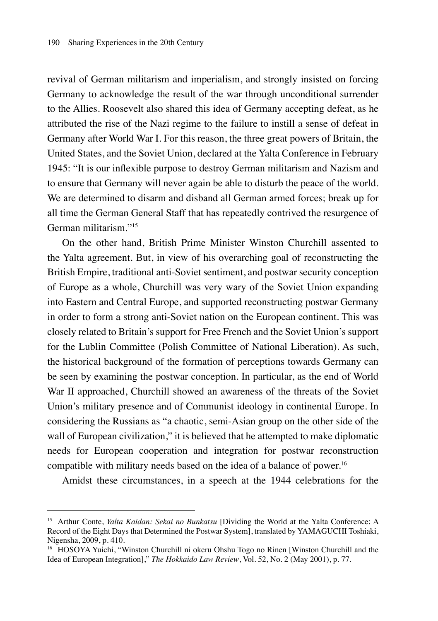revival of German militarism and imperialism, and strongly insisted on forcing Germany to acknowledge the result of the war through unconditional surrender to the Allies. Roosevelt also shared this idea of Germany accepting defeat, as he attributed the rise of the Nazi regime to the failure to instill a sense of defeat in Germany after World War I. For this reason, the three great powers of Britain, the United States, and the Soviet Union, declared at the Yalta Conference in February 1945: "It is our inflexible purpose to destroy German militarism and Nazism and to ensure that Germany will never again be able to disturb the peace of the world. We are determined to disarm and disband all German armed forces; break up for all time the German General Staff that has repeatedly contrived the resurgence of German militarism."15

On the other hand, British Prime Minister Winston Churchill assented to the Yalta agreement. But, in view of his overarching goal of reconstructing the British Empire, traditional anti-Soviet sentiment, and postwar security conception of Europe as a whole, Churchill was very wary of the Soviet Union expanding into Eastern and Central Europe, and supported reconstructing postwar Germany in order to form a strong anti-Soviet nation on the European continent. This was closely related to Britain's support for Free French and the Soviet Union's support for the Lublin Committee (Polish Committee of National Liberation). As such, the historical background of the formation of perceptions towards Germany can be seen by examining the postwar conception. In particular, as the end of World War II approached, Churchill showed an awareness of the threats of the Soviet Union's military presence and of Communist ideology in continental Europe. In considering the Russians as "a chaotic, semi-Asian group on the other side of the wall of European civilization," it is believed that he attempted to make diplomatic needs for European cooperation and integration for postwar reconstruction compatible with military needs based on the idea of a balance of power.<sup>16</sup>

Amidst these circumstances, in a speech at the 1944 celebrations for the

<sup>15</sup> Arthur Conte, *Yalta Kaidan: Sekai no Bunkatsu* [Dividing the World at the Yalta Conference: A Record of the Eight Days that Determined the Postwar System], translated by YAMAGUCHI Toshiaki, Nigensha, 2009, p. 410.

<sup>16</sup> HOSOYA Yuichi, "Winston Churchill ni okeru Ohshu Togo no Rinen [Winston Churchill and the Idea of European Integration]," *The Hokkaido Law Review*, Vol. 52, No. 2 (May 2001), p. 77.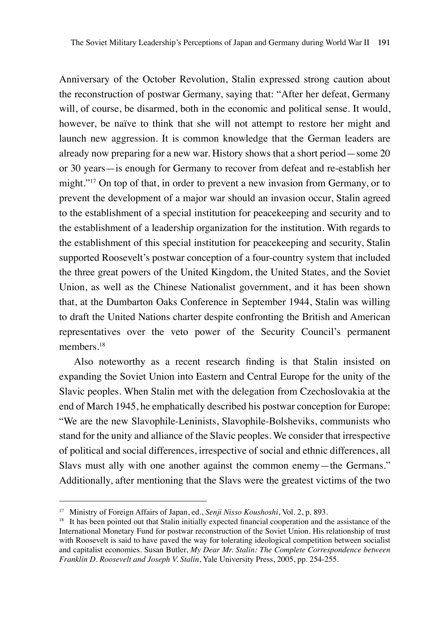Anniversary of the October Revolution, Stalin expressed strong caution about the reconstruction of postwar Germany, saying that: "After her defeat, Germany will, of course, be disarmed, both in the economic and political sense. It would, however, be naïve to think that she will not attempt to restore her might and launch new aggression. It is common knowledge that the German leaders are already now preparing for a new war. History shows that a short period—some 20 or 30 years—is enough for Germany to recover from defeat and re-establish her might."17 On top of that, in order to prevent a new invasion from Germany, or to prevent the development of a major war should an invasion occur, Stalin agreed to the establishment of a special institution for peacekeeping and security and to the establishment of a leadership organization for the institution. With regards to the establishment of this special institution for peacekeeping and security, Stalin supported Roosevelt's postwar conception of a four-country system that included the three great powers of the United Kingdom, the United States, and the Soviet Union, as well as the Chinese Nationalist government, and it has been shown that, at the Dumbarton Oaks Conference in September 1944, Stalin was willing to draft the United Nations charter despite confronting the British and American representatives over the veto power of the Security Council's permanent members.<sup>18</sup>

Also noteworthy as a recent research finding is that Stalin insisted on expanding the Soviet Union into Eastern and Central Europe for the unity of the Slavic peoples. When Stalin met with the delegation from Czechoslovakia at the end of March 1945, he emphatically described his postwar conception for Europe: "We are the new Slavophile-Leninists, Slavophile-Bolsheviks, communists who stand for the unity and alliance of the Slavic peoples. We consider that irrespective of political and social differences, irrespective of social and ethnic differences, all Slavs must ally with one another against the common enemy—the Germans." Additionally, after mentioning that the Slavs were the greatest victims of the two

<sup>17</sup> Ministry of Foreign Affairs of Japan, ed., *Senji Nisso Koushoshi*, Vol. 2, p. 893.

<sup>&</sup>lt;sup>18</sup> It has been pointed out that Stalin initially expected financial cooperation and the assistance of the International Monetary Fund for postwar reconstruction of the Soviet Union. His relationship of trust with Roosevelt is said to have paved the way for tolerating ideological competition between socialist and capitalist economies. Susan Butler, *My Dear Mr. Stalin: The Complete Correspondence between Franklin D. Roosevelt and Joseph V. Stalin*, Yale University Press, 2005, pp. 254-255.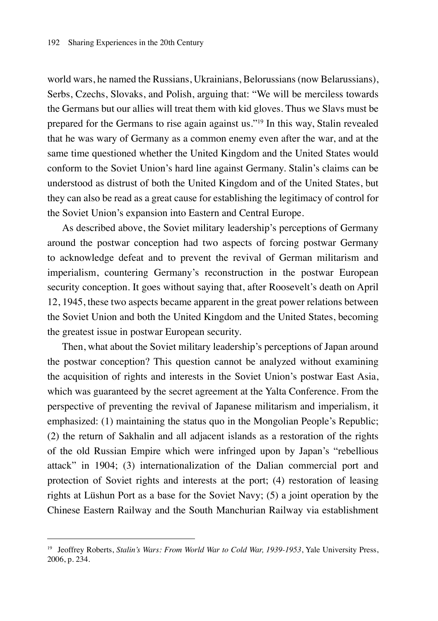world wars, he named the Russians, Ukrainians, Belorussians (now Belarussians), Serbs, Czechs, Slovaks, and Polish, arguing that: "We will be merciless towards the Germans but our allies will treat them with kid gloves. Thus we Slavs must be prepared for the Germans to rise again against us."19 In this way, Stalin revealed that he was wary of Germany as a common enemy even after the war, and at the same time questioned whether the United Kingdom and the United States would conform to the Soviet Union's hard line against Germany. Stalin's claims can be understood as distrust of both the United Kingdom and of the United States, but they can also be read as a great cause for establishing the legitimacy of control for the Soviet Union's expansion into Eastern and Central Europe.

As described above, the Soviet military leadership's perceptions of Germany around the postwar conception had two aspects of forcing postwar Germany to acknowledge defeat and to prevent the revival of German militarism and imperialism, countering Germany's reconstruction in the postwar European security conception. It goes without saying that, after Roosevelt's death on April 12, 1945, these two aspects became apparent in the great power relations between the Soviet Union and both the United Kingdom and the United States, becoming the greatest issue in postwar European security.

Then, what about the Soviet military leadership's perceptions of Japan around the postwar conception? This question cannot be analyzed without examining the acquisition of rights and interests in the Soviet Union's postwar East Asia, which was guaranteed by the secret agreement at the Yalta Conference. From the perspective of preventing the revival of Japanese militarism and imperialism, it emphasized: (1) maintaining the status quo in the Mongolian People's Republic; (2) the return of Sakhalin and all adjacent islands as a restoration of the rights of the old Russian Empire which were infringed upon by Japan's "rebellious attack" in 1904; (3) internationalization of the Dalian commercial port and protection of Soviet rights and interests at the port; (4) restoration of leasing rights at Lüshun Port as a base for the Soviet Navy; (5) a joint operation by the Chinese Eastern Railway and the South Manchurian Railway via establishment

<sup>19</sup> Jeoffrey Roberts, *Stalin's Wars: From World War to Cold War, 1939-1953*, Yale University Press, 2006, p. 234.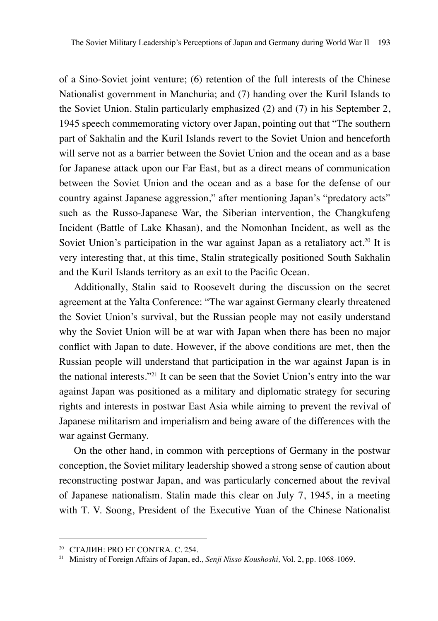of a Sino-Soviet joint venture; (6) retention of the full interests of the Chinese Nationalist government in Manchuria; and (7) handing over the Kuril Islands to the Soviet Union. Stalin particularly emphasized (2) and (7) in his September 2, 1945 speech commemorating victory over Japan, pointing out that "The southern part of Sakhalin and the Kuril Islands revert to the Soviet Union and henceforth will serve not as a barrier between the Soviet Union and the ocean and as a base for Japanese attack upon our Far East, but as a direct means of communication between the Soviet Union and the ocean and as a base for the defense of our country against Japanese aggression," after mentioning Japan's "predatory acts" such as the Russo-Japanese War, the Siberian intervention, the Changkufeng Incident (Battle of Lake Khasan), and the Nomonhan Incident, as well as the Soviet Union's participation in the war against Japan as a retaliatory act.<sup>20</sup> It is very interesting that, at this time, Stalin strategically positioned South Sakhalin and the Kuril Islands territory as an exit to the Pacific Ocean.

Additionally, Stalin said to Roosevelt during the discussion on the secret agreement at the Yalta Conference: "The war against Germany clearly threatened the Soviet Union's survival, but the Russian people may not easily understand why the Soviet Union will be at war with Japan when there has been no major conflict with Japan to date. However, if the above conditions are met, then the Russian people will understand that participation in the war against Japan is in the national interests."21 It can be seen that the Soviet Union's entry into the war against Japan was positioned as a military and diplomatic strategy for securing rights and interests in postwar East Asia while aiming to prevent the revival of Japanese militarism and imperialism and being aware of the differences with the war against Germany.

On the other hand, in common with perceptions of Germany in the postwar conception, the Soviet military leadership showed a strong sense of caution about reconstructing postwar Japan, and was particularly concerned about the revival of Japanese nationalism. Stalin made this clear on July 7, 1945, in a meeting with T. V. Soong, President of the Executive Yuan of the Chinese Nationalist

<sup>&</sup>lt;sup>20</sup> СТАЛИН: PRO ET CONTRA. С. 254.

<sup>21</sup> Ministry of Foreign Affairs of Japan, ed., *Senji Nisso Koushoshi,* Vol. 2, pp. 1068-1069.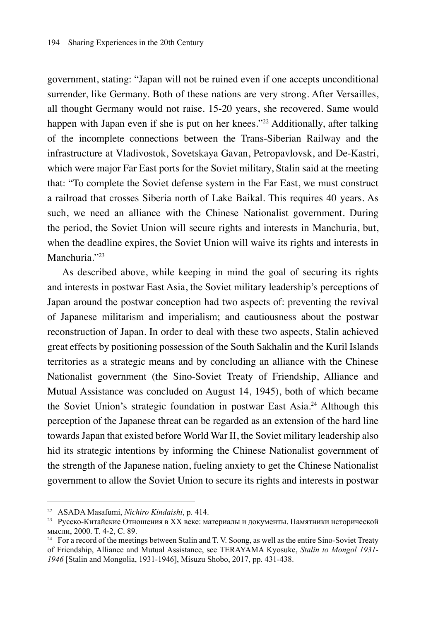government, stating: "Japan will not be ruined even if one accepts unconditional surrender, like Germany. Both of these nations are very strong. After Versailles, all thought Germany would not raise. 15-20 years, she recovered. Same would happen with Japan even if she is put on her knees."<sup>22</sup> Additionally, after talking of the incomplete connections between the Trans-Siberian Railway and the infrastructure at Vladivostok, Sovetskaya Gavan, Petropavlovsk, and De-Kastri, which were major Far East ports for the Soviet military, Stalin said at the meeting that: "To complete the Soviet defense system in the Far East, we must construct a railroad that crosses Siberia north of Lake Baikal. This requires 40 years. As such, we need an alliance with the Chinese Nationalist government. During the period, the Soviet Union will secure rights and interests in Manchuria, but, when the deadline expires, the Soviet Union will waive its rights and interests in Manchuria."23

As described above, while keeping in mind the goal of securing its rights and interests in postwar East Asia, the Soviet military leadership's perceptions of Japan around the postwar conception had two aspects of: preventing the revival of Japanese militarism and imperialism; and cautiousness about the postwar reconstruction of Japan. In order to deal with these two aspects, Stalin achieved great effects by positioning possession of the South Sakhalin and the Kuril Islands territories as a strategic means and by concluding an alliance with the Chinese Nationalist government (the Sino-Soviet Treaty of Friendship, Alliance and Mutual Assistance was concluded on August 14, 1945), both of which became the Soviet Union's strategic foundation in postwar East Asia.<sup>24</sup> Although this perception of the Japanese threat can be regarded as an extension of the hard line towards Japan that existed before World War II, the Soviet military leadership also hid its strategic intentions by informing the Chinese Nationalist government of the strength of the Japanese nation, fueling anxiety to get the Chinese Nationalist government to allow the Soviet Union to secure its rights and interests in postwar

<sup>22</sup> ASADA Masafumi, *Nichiro Kindaishi*, p. 414.

<sup>23</sup> Русско-Китайские Отношения в XX веке: материалы и документы. Памятники исторической мысли, 2000. T. 4-2, C. 89.

<sup>&</sup>lt;sup>24</sup> For a record of the meetings between Stalin and T. V. Soong, as well as the entire Sino-Soviet Treaty of Friendship, Alliance and Mutual Assistance, see TERAYAMA Kyosuke, *Stalin to Mongol 1931- 1946* [Stalin and Mongolia, 1931-1946], Misuzu Shobo, 2017, pp. 431-438.